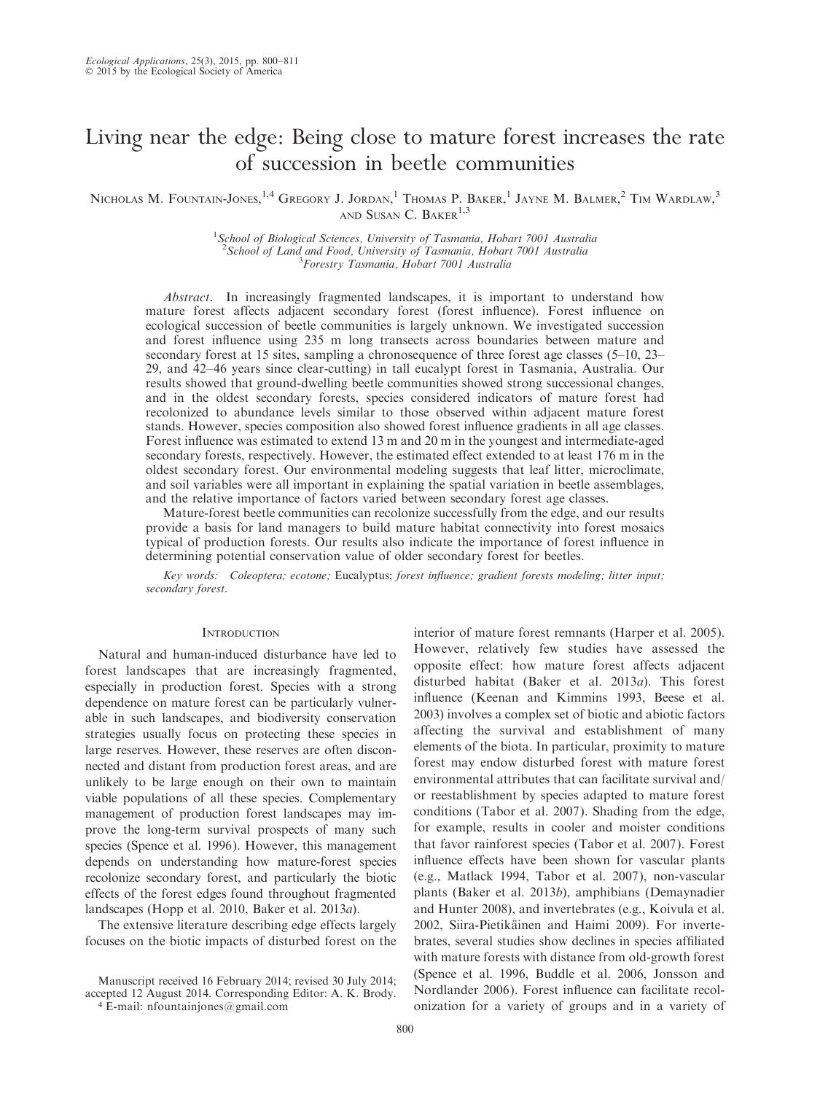# Living near the edge: Being close to mature forest increases the rate of succession in beetle communities

Nicholas M. Fountain-Jones, <sup>1,4</sup> Gregory J. Jordan, <sup>1</sup> Thomas P. Baker, <sup>1</sup> Jayne M. Balmer, <sup>2</sup> Tim Wardlaw, <sup>3</sup> AND SUSAN C. BAKER $1,3$ 

> <sup>1</sup>School of Biological Sciences, University of Tasmania, Hobart 7001 Australia <sup>2</sup> School of Land and Food, University of Tasmania, Hobart 7001 Australia Forestry Tasmania, Hobart 7001 Australia

Abstract. In increasingly fragmented landscapes, it is important to understand how mature forest affects adjacent secondary forest (forest influence). Forest influence on ecological succession of beetle communities is largely unknown. We investigated succession and forest influence using 235 m long transects across boundaries between mature and secondary forest at 15 sites, sampling a chronosequence of three forest age classes (5–10, 23– 29, and 42–46 years since clear-cutting) in tall eucalypt forest in Tasmania, Australia. Our results showed that ground-dwelling beetle communities showed strong successional changes, and in the oldest secondary forests, species considered indicators of mature forest had recolonized to abundance levels similar to those observed within adjacent mature forest stands. However, species composition also showed forest influence gradients in all age classes. Forest influence was estimated to extend 13 m and 20 m in the youngest and intermediate-aged secondary forests, respectively. However, the estimated effect extended to at least 176 m in the oldest secondary forest. Our environmental modeling suggests that leaf litter, microclimate, and soil variables were all important in explaining the spatial variation in beetle assemblages, and the relative importance of factors varied between secondary forest age classes.

Mature-forest beetle communities can recolonize successfully from the edge, and our results provide a basis for land managers to build mature habitat connectivity into forest mosaics typical of production forests. Our results also indicate the importance of forest influence in determining potential conservation value of older secondary forest for beetles.

Key words: Coleoptera; ecotone; Eucalyptus; forest influence; gradient forests modeling; litter input; secondary forest.

# **INTRODUCTION**

Natural and human-induced disturbance have led to forest landscapes that are increasingly fragmented, especially in production forest. Species with a strong dependence on mature forest can be particularly vulnerable in such landscapes, and biodiversity conservation strategies usually focus on protecting these species in large reserves. However, these reserves are often disconnected and distant from production forest areas, and are unlikely to be large enough on their own to maintain viable populations of all these species. Complementary management of production forest landscapes may improve the long-term survival prospects of many such species (Spence et al. 1996). However, this management depends on understanding how mature-forest species recolonize secondary forest, and particularly the biotic effects of the forest edges found throughout fragmented landscapes (Hopp et al. 2010, Baker et al. 2013a).

The extensive literature describing edge effects largely focuses on the biotic impacts of disturbed forest on the

Manuscript received 16 February 2014; revised 30 July 2014; accepted 12 August 2014. Corresponding Editor: A. K. Brody.

<sup>4</sup> E-mail: nfountainjones@gmail.com

interior of mature forest remnants (Harper et al. 2005). However, relatively few studies have assessed the opposite effect: how mature forest affects adjacent disturbed habitat (Baker et al. 2013a). This forest influence (Keenan and Kimmins 1993, Beese et al. 2003) involves a complex set of biotic and abiotic factors affecting the survival and establishment of many elements of the biota. In particular, proximity to mature forest may endow disturbed forest with mature forest environmental attributes that can facilitate survival and/ or reestablishment by species adapted to mature forest conditions (Tabor et al. 2007). Shading from the edge, for example, results in cooler and moister conditions that favor rainforest species (Tabor et al. 2007). Forest influence effects have been shown for vascular plants (e.g., Matlack 1994, Tabor et al. 2007), non-vascular plants (Baker et al. 2013b), amphibians (Demaynadier and Hunter 2008), and invertebrates (e.g., Koivula et al. 2002, Siira-Pietikäinen and Haimi 2009). For invertebrates, several studies show declines in species affiliated with mature forests with distance from old-growth forest (Spence et al. 1996, Buddle et al. 2006, Jonsson and Nordlander 2006). Forest influence can facilitate recolonization for a variety of groups and in a variety of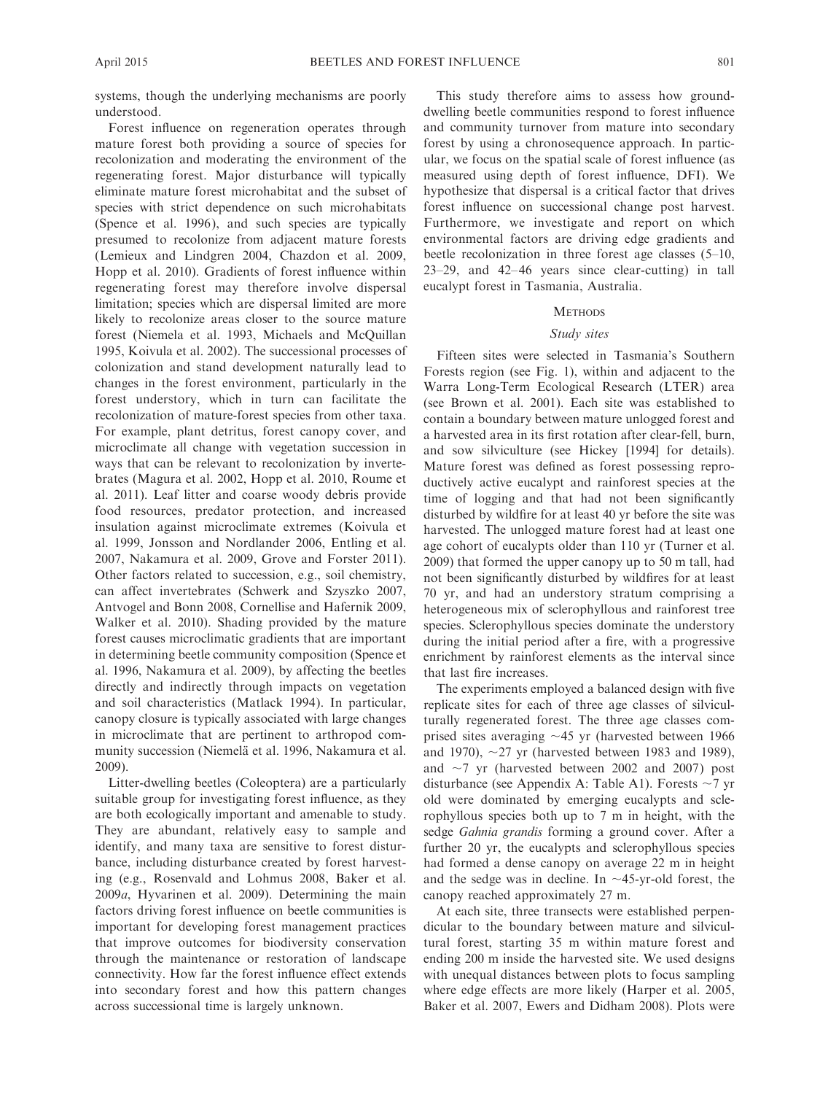systems, though the underlying mechanisms are poorly understood.

Forest influence on regeneration operates through mature forest both providing a source of species for recolonization and moderating the environment of the regenerating forest. Major disturbance will typically eliminate mature forest microhabitat and the subset of species with strict dependence on such microhabitats (Spence et al. 1996), and such species are typically presumed to recolonize from adjacent mature forests (Lemieux and Lindgren 2004, Chazdon et al. 2009, Hopp et al. 2010). Gradients of forest influence within regenerating forest may therefore involve dispersal limitation; species which are dispersal limited are more likely to recolonize areas closer to the source mature forest (Niemela et al. 1993, Michaels and McQuillan 1995, Koivula et al. 2002). The successional processes of colonization and stand development naturally lead to changes in the forest environment, particularly in the forest understory, which in turn can facilitate the recolonization of mature-forest species from other taxa. For example, plant detritus, forest canopy cover, and microclimate all change with vegetation succession in ways that can be relevant to recolonization by invertebrates (Magura et al. 2002, Hopp et al. 2010, Roume et al. 2011). Leaf litter and coarse woody debris provide food resources, predator protection, and increased insulation against microclimate extremes (Koivula et al. 1999, Jonsson and Nordlander 2006, Entling et al. 2007, Nakamura et al. 2009, Grove and Forster 2011). Other factors related to succession, e.g., soil chemistry, can affect invertebrates (Schwerk and Szyszko 2007, Antvogel and Bonn 2008, Cornellise and Hafernik 2009, Walker et al. 2010). Shading provided by the mature forest causes microclimatic gradients that are important in determining beetle community composition (Spence et al. 1996, Nakamura et al. 2009), by affecting the beetles directly and indirectly through impacts on vegetation and soil characteristics (Matlack 1994). In particular, canopy closure is typically associated with large changes in microclimate that are pertinent to arthropod community succession (Niemelä et al. 1996, Nakamura et al. 2009).

Litter-dwelling beetles (Coleoptera) are a particularly suitable group for investigating forest influence, as they are both ecologically important and amenable to study. They are abundant, relatively easy to sample and identify, and many taxa are sensitive to forest disturbance, including disturbance created by forest harvesting (e.g., Rosenvald and Lohmus 2008, Baker et al. 2009a, Hyvarinen et al. 2009). Determining the main factors driving forest influence on beetle communities is important for developing forest management practices that improve outcomes for biodiversity conservation through the maintenance or restoration of landscape connectivity. How far the forest influence effect extends into secondary forest and how this pattern changes across successional time is largely unknown.

This study therefore aims to assess how grounddwelling beetle communities respond to forest influence and community turnover from mature into secondary forest by using a chronosequence approach. In particular, we focus on the spatial scale of forest influence (as measured using depth of forest influence, DFI). We hypothesize that dispersal is a critical factor that drives forest influence on successional change post harvest. Furthermore, we investigate and report on which environmental factors are driving edge gradients and beetle recolonization in three forest age classes (5–10, 23–29, and 42–46 years since clear-cutting) in tall eucalypt forest in Tasmania, Australia.

# **METHODS**

#### Study sites

Fifteen sites were selected in Tasmania's Southern Forests region (see Fig. 1), within and adjacent to the Warra Long-Term Ecological Research (LTER) area (see Brown et al. 2001). Each site was established to contain a boundary between mature unlogged forest and a harvested area in its first rotation after clear-fell, burn, and sow silviculture (see Hickey [1994] for details). Mature forest was defined as forest possessing reproductively active eucalypt and rainforest species at the time of logging and that had not been significantly disturbed by wildfire for at least 40 yr before the site was harvested. The unlogged mature forest had at least one age cohort of eucalypts older than 110 yr (Turner et al. 2009) that formed the upper canopy up to 50 m tall, had not been significantly disturbed by wildfires for at least 70 yr, and had an understory stratum comprising a heterogeneous mix of sclerophyllous and rainforest tree species. Sclerophyllous species dominate the understory during the initial period after a fire, with a progressive enrichment by rainforest elements as the interval since that last fire increases.

The experiments employed a balanced design with five replicate sites for each of three age classes of silviculturally regenerated forest. The three age classes comprised sites averaging  $\sim$ 45 yr (harvested between 1966 and 1970),  $\sim$ 27 yr (harvested between 1983 and 1989), and  $\sim$ 7 yr (harvested between 2002 and 2007) post disturbance (see Appendix A: Table A1). Forests  $\sim$ 7 yr old were dominated by emerging eucalypts and sclerophyllous species both up to 7 m in height, with the sedge Gahnia grandis forming a ground cover. After a further 20 yr, the eucalypts and sclerophyllous species had formed a dense canopy on average 22 m in height and the sedge was in decline. In  $\sim$ 45-yr-old forest, the canopy reached approximately 27 m.

At each site, three transects were established perpendicular to the boundary between mature and silvicultural forest, starting 35 m within mature forest and ending 200 m inside the harvested site. We used designs with unequal distances between plots to focus sampling where edge effects are more likely (Harper et al. 2005, Baker et al. 2007, Ewers and Didham 2008). Plots were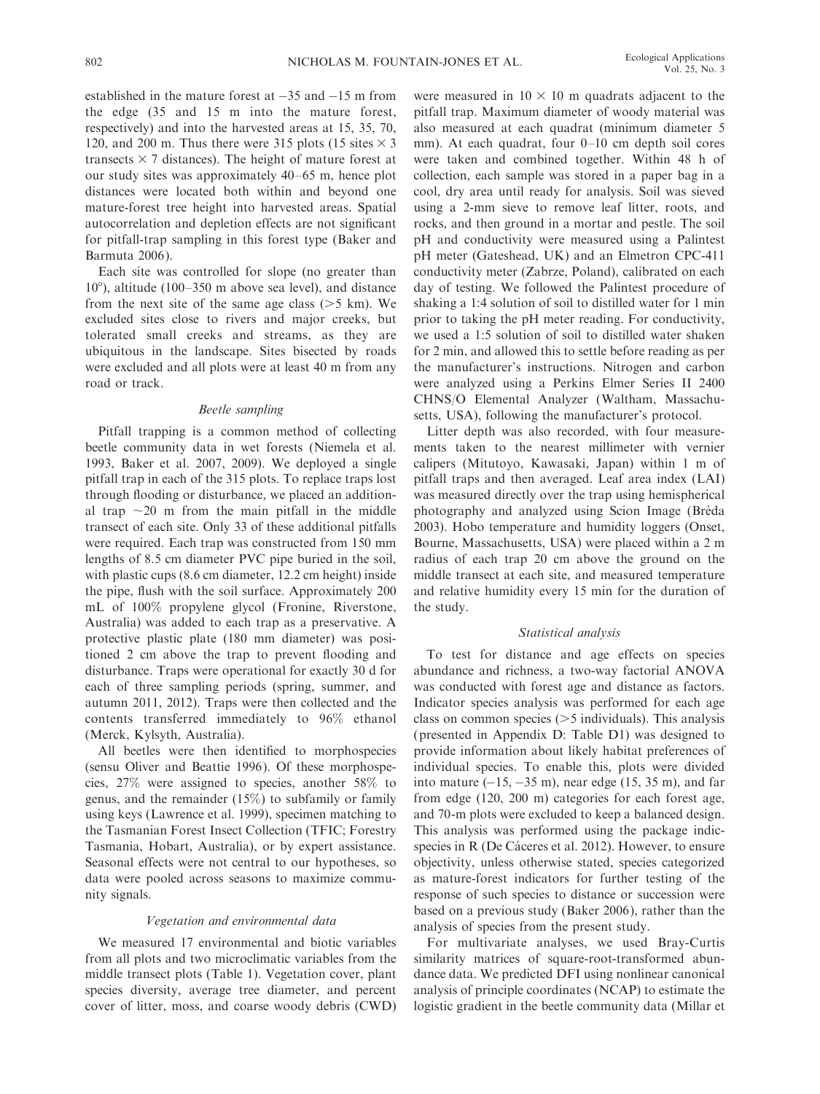established in the mature forest at  $-35$  and  $-15$  m from the edge (35 and 15 m into the mature forest, respectively) and into the harvested areas at 15, 35, 70, 120, and 200 m. Thus there were 315 plots (15 sites  $\times$  3 transects  $\times$  7 distances). The height of mature forest at our study sites was approximately 40–65 m, hence plot distances were located both within and beyond one mature-forest tree height into harvested areas. Spatial autocorrelation and depletion effects are not significant for pitfall-trap sampling in this forest type (Baker and Barmuta 2006).

Each site was controlled for slope (no greater than  $10^{\circ}$ ), altitude (100–350 m above sea level), and distance from the next site of the same age class  $(>= 5 \text{ km})$ . We excluded sites close to rivers and major creeks, but tolerated small creeks and streams, as they are ubiquitous in the landscape. Sites bisected by roads were excluded and all plots were at least 40 m from any road or track.

## Beetle sampling

Pitfall trapping is a common method of collecting beetle community data in wet forests (Niemela et al. 1993, Baker et al. 2007, 2009). We deployed a single pitfall trap in each of the 315 plots. To replace traps lost through flooding or disturbance, we placed an additional trap  $\sim$ 20 m from the main pitfall in the middle transect of each site. Only 33 of these additional pitfalls were required. Each trap was constructed from 150 mm lengths of 8.5 cm diameter PVC pipe buried in the soil, with plastic cups (8.6 cm diameter, 12.2 cm height) inside the pipe, flush with the soil surface. Approximately 200 mL of 100% propylene glycol (Fronine, Riverstone, Australia) was added to each trap as a preservative. A protective plastic plate (180 mm diameter) was positioned 2 cm above the trap to prevent flooding and disturbance. Traps were operational for exactly 30 d for each of three sampling periods (spring, summer, and autumn 2011, 2012). Traps were then collected and the contents transferred immediately to 96% ethanol (Merck, Kylsyth, Australia).

All beetles were then identified to morphospecies (sensu Oliver and Beattie 1996). Of these morphospecies, 27% were assigned to species, another 58% to genus, and the remainder (15%) to subfamily or family using keys (Lawrence et al. 1999), specimen matching to the Tasmanian Forest Insect Collection (TFIC; Forestry Tasmania, Hobart, Australia), or by expert assistance. Seasonal effects were not central to our hypotheses, so data were pooled across seasons to maximize community signals.

## Vegetation and environmental data

We measured 17 environmental and biotic variables from all plots and two microclimatic variables from the middle transect plots (Table 1). Vegetation cover, plant species diversity, average tree diameter, and percent cover of litter, moss, and coarse woody debris (CWD) were measured in  $10 \times 10$  m quadrats adjacent to the pitfall trap. Maximum diameter of woody material was also measured at each quadrat (minimum diameter 5 mm). At each quadrat, four 0–10 cm depth soil cores were taken and combined together. Within 48 h of collection, each sample was stored in a paper bag in a cool, dry area until ready for analysis. Soil was sieved using a 2-mm sieve to remove leaf litter, roots, and rocks, and then ground in a mortar and pestle. The soil pH and conductivity were measured using a Palintest pH meter (Gateshead, UK) and an Elmetron CPC-411 conductivity meter (Zabrze, Poland), calibrated on each day of testing. We followed the Palintest procedure of shaking a 1:4 solution of soil to distilled water for 1 min prior to taking the pH meter reading. For conductivity, we used a 1:5 solution of soil to distilled water shaken for 2 min, and allowed this to settle before reading as per the manufacturer's instructions. Nitrogen and carbon were analyzed using a Perkins Elmer Series II 2400 CHNS/O Elemental Analyzer (Waltham, Massachusetts, USA), following the manufacturer's protocol.

Litter depth was also recorded, with four measurements taken to the nearest millimeter with vernier calipers (Mitutoyo, Kawasaki, Japan) within 1 m of pitfall traps and then averaged. Leaf area index (LAI) was measured directly over the trap using hemispherical photography and analyzed using Scion Image (Bréda 2003). Hobo temperature and humidity loggers (Onset, Bourne, Massachusetts, USA) were placed within a 2 m radius of each trap 20 cm above the ground on the middle transect at each site, and measured temperature and relative humidity every 15 min for the duration of the study.

#### Statistical analysis

To test for distance and age effects on species abundance and richness, a two-way factorial ANOVA was conducted with forest age and distance as factors. Indicator species analysis was performed for each age class on common species  $($ >5 individuals). This analysis (presented in Appendix D: Table D1) was designed to provide information about likely habitat preferences of individual species. To enable this, plots were divided into mature  $(-15, -35 \text{ m})$ , near edge  $(15, 35 \text{ m})$ , and far from edge (120, 200 m) categories for each forest age, and 70-m plots were excluded to keep a balanced design. This analysis was performed using the package indicspecies in R (De Cáceres et al. 2012). However, to ensure objectivity, unless otherwise stated, species categorized as mature-forest indicators for further testing of the response of such species to distance or succession were based on a previous study (Baker 2006), rather than the analysis of species from the present study.

For multivariate analyses, we used Bray-Curtis similarity matrices of square-root-transformed abundance data. We predicted DFI using nonlinear canonical analysis of principle coordinates (NCAP) to estimate the logistic gradient in the beetle community data (Millar et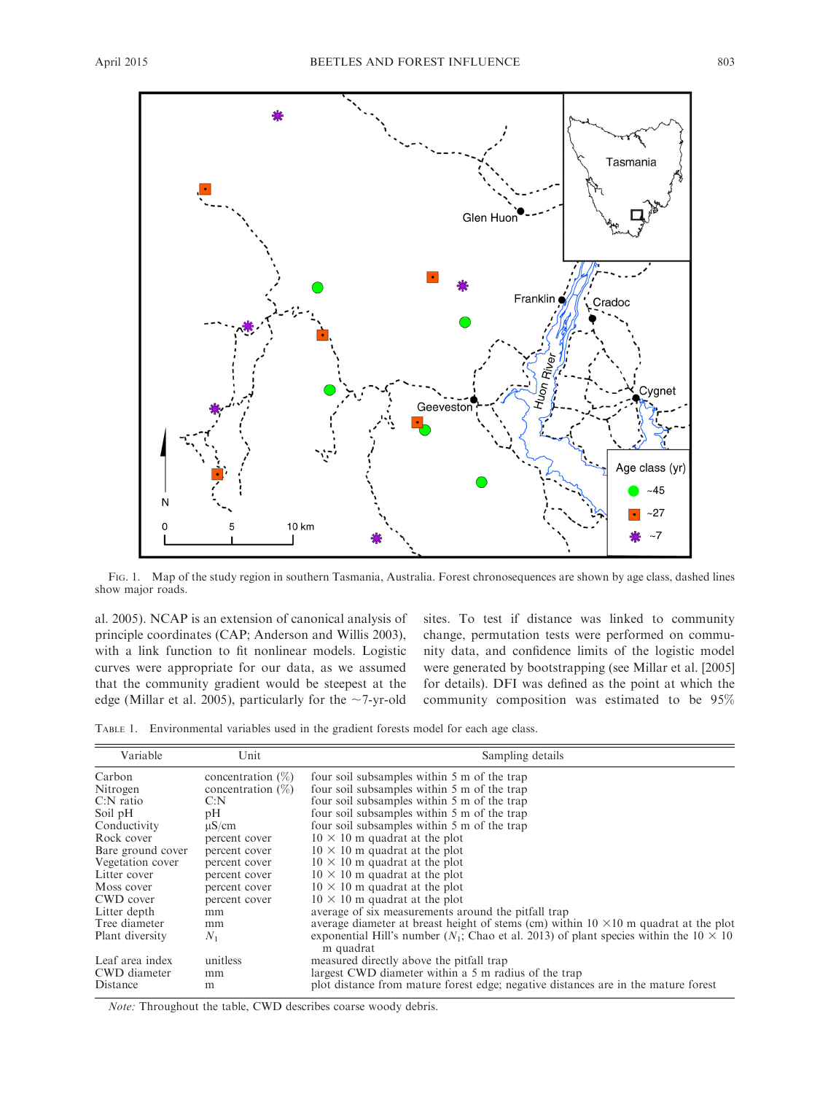

FIG. 1. Map of the study region in southern Tasmania, Australia. Forest chronosequences are shown by age class, dashed lines show major roads.

al. 2005). NCAP is an extension of canonical analysis of principle coordinates (CAP; Anderson and Willis 2003), with a link function to fit nonlinear models. Logistic curves were appropriate for our data, as we assumed that the community gradient would be steepest at the edge (Millar et al. 2005), particularly for the  $\sim$ 7-yr-old sites. To test if distance was linked to community change, permutation tests were performed on community data, and confidence limits of the logistic model were generated by bootstrapping (see Millar et al. [2005] for details). DFI was defined as the point at which the community composition was estimated to be 95%

TABLE 1. Environmental variables used in the gradient forests model for each age class.

| Variable          | Unit                 | Sampling details                                                                                              |
|-------------------|----------------------|---------------------------------------------------------------------------------------------------------------|
| Carbon            | concentration $(\%)$ | four soil subsamples within 5 m of the trap                                                                   |
| Nitrogen          | concentration $(\%)$ | four soil subsamples within 5 m of the trap                                                                   |
| $C:$ N ratio      | C: N                 | four soil subsamples within 5 m of the trap                                                                   |
| Soil pH           | рH                   | four soil subsamples within 5 m of the trap                                                                   |
| Conductivity      | $\mu$ S/cm           | four soil subsamples within 5 m of the trap                                                                   |
| Rock cover        | percent cover        | $10 \times 10$ m quadrat at the plot                                                                          |
| Bare ground cover | percent cover        | $10 \times 10$ m quadrat at the plot                                                                          |
| Vegetation cover  | percent cover        | $10 \times 10$ m quadrat at the plot                                                                          |
| Litter cover      | percent cover        | $10 \times 10$ m quadrat at the plot                                                                          |
| Moss cover        | percent cover        | $10 \times 10$ m quadrat at the plot                                                                          |
| CWD cover         | percent cover        | $10 \times 10$ m quadrat at the plot                                                                          |
| Litter depth      | mm                   | average of six measurements around the pitfall trap                                                           |
| Tree diameter     | mm                   | average diameter at breast height of stems (cm) within $10 \times 10$ m quadrat at the plot                   |
| Plant diversity   | $N_1$                | exponential Hill's number ( $N_1$ ; Chao et al. 2013) of plant species within the 10 $\times$ 10<br>m quadrat |
| Leaf area index   | unitless             | measured directly above the pitfall trap                                                                      |
| CWD diameter      | mm                   | largest CWD diameter within a 5 m radius of the trap                                                          |
| Distance          | m                    | plot distance from mature forest edge; negative distances are in the mature forest                            |

Note: Throughout the table, CWD describes coarse woody debris.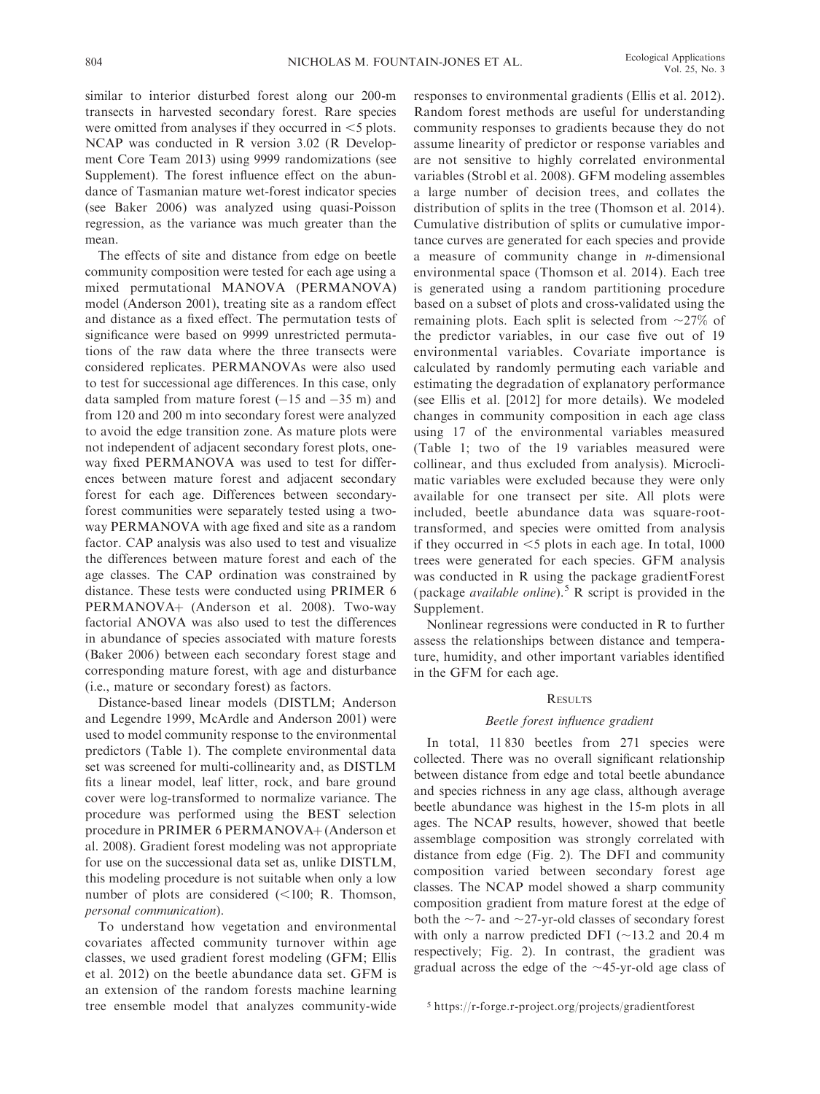similar to interior disturbed forest along our 200-m transects in harvested secondary forest. Rare species were omitted from analyses if they occurred in  $\leq$  plots. NCAP was conducted in R version 3.02 (R Development Core Team 2013) using 9999 randomizations (see Supplement). The forest influence effect on the abundance of Tasmanian mature wet-forest indicator species (see Baker 2006) was analyzed using quasi-Poisson regression, as the variance was much greater than the mean.

The effects of site and distance from edge on beetle community composition were tested for each age using a mixed permutational MANOVA (PERMANOVA) model (Anderson 2001), treating site as a random effect and distance as a fixed effect. The permutation tests of significance were based on 9999 unrestricted permutations of the raw data where the three transects were considered replicates. PERMANOVAs were also used to test for successional age differences. In this case, only data sampled from mature forest  $(-15 \text{ and } -35 \text{ m})$  and from 120 and 200 m into secondary forest were analyzed to avoid the edge transition zone. As mature plots were not independent of adjacent secondary forest plots, oneway fixed PERMANOVA was used to test for differences between mature forest and adjacent secondary forest for each age. Differences between secondaryforest communities were separately tested using a twoway PERMANOVA with age fixed and site as a random factor. CAP analysis was also used to test and visualize the differences between mature forest and each of the age classes. The CAP ordination was constrained by distance. These tests were conducted using PRIMER 6 PERMANOVA+ (Anderson et al. 2008). Two-way factorial ANOVA was also used to test the differences in abundance of species associated with mature forests (Baker 2006) between each secondary forest stage and corresponding mature forest, with age and disturbance (i.e., mature or secondary forest) as factors.

Distance-based linear models (DISTLM; Anderson and Legendre 1999, McArdle and Anderson 2001) were used to model community response to the environmental predictors (Table 1). The complete environmental data set was screened for multi-collinearity and, as DISTLM fits a linear model, leaf litter, rock, and bare ground cover were log-transformed to normalize variance. The procedure was performed using the BEST selection procedure in PRIMER 6 PERMANOVA+ (Anderson et al. 2008). Gradient forest modeling was not appropriate for use on the successional data set as, unlike DISTLM, this modeling procedure is not suitable when only a low number of plots are considered  $(<100; R$ . Thomson, personal communication).

To understand how vegetation and environmental covariates affected community turnover within age classes, we used gradient forest modeling (GFM; Ellis et al. 2012) on the beetle abundance data set. GFM is an extension of the random forests machine learning tree ensemble model that analyzes community-wide responses to environmental gradients (Ellis et al. 2012). Random forest methods are useful for understanding community responses to gradients because they do not assume linearity of predictor or response variables and are not sensitive to highly correlated environmental variables (Strobl et al. 2008). GFM modeling assembles a large number of decision trees, and collates the distribution of splits in the tree (Thomson et al. 2014). Cumulative distribution of splits or cumulative importance curves are generated for each species and provide a measure of community change in  $n$ -dimensional environmental space (Thomson et al. 2014). Each tree is generated using a random partitioning procedure based on a subset of plots and cross-validated using the remaining plots. Each split is selected from  $\sim$ 27% of the predictor variables, in our case five out of 19 environmental variables. Covariate importance is calculated by randomly permuting each variable and estimating the degradation of explanatory performance (see Ellis et al. [2012] for more details). We modeled changes in community composition in each age class using 17 of the environmental variables measured (Table 1; two of the 19 variables measured were collinear, and thus excluded from analysis). Microclimatic variables were excluded because they were only available for one transect per site. All plots were included, beetle abundance data was square-roottransformed, and species were omitted from analysis if they occurred in  $\leq$ 5 plots in each age. In total, 1000 trees were generated for each species. GFM analysis was conducted in R using the package gradientForest (package *available online*).<sup>5</sup> R script is provided in the Supplement.

Nonlinear regressions were conducted in R to further assess the relationships between distance and temperature, humidity, and other important variables identified in the GFM for each age.

### **RESULTS**

## Beetle forest influence gradient

In total, 11 830 beetles from 271 species were collected. There was no overall significant relationship between distance from edge and total beetle abundance and species richness in any age class, although average beetle abundance was highest in the 15-m plots in all ages. The NCAP results, however, showed that beetle assemblage composition was strongly correlated with distance from edge (Fig. 2). The DFI and community composition varied between secondary forest age classes. The NCAP model showed a sharp community composition gradient from mature forest at the edge of both the  $\sim$ 7- and  $\sim$ 27-yr-old classes of secondary forest with only a narrow predicted DFI ( $\sim$ 13.2 and 20.4 m respectively; Fig. 2). In contrast, the gradient was gradual across the edge of the  $\sim$ 45-yr-old age class of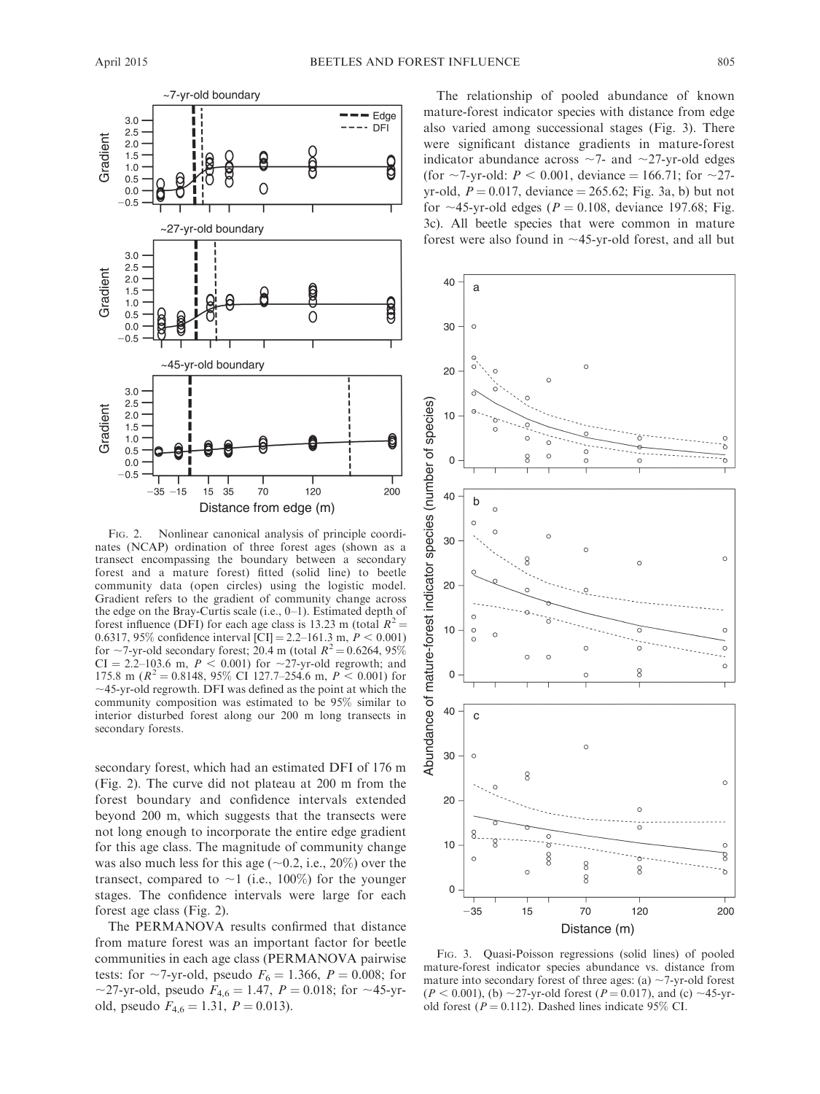

FIG. 2. Nonlinear canonical analysis of principle coordinates (NCAP) ordination of three forest ages (shown as a transect encompassing the boundary between a secondary forest and a mature forest) fitted (solid line) to beetle community data (open circles) using the logistic model. Gradient refers to the gradient of community change across the edge on the Bray-Curtis scale (i.e., 0–1). Estimated depth of forest influence (DFI) for each age class is 13.23 m (total  $R^2 =$ 0.6317, 95% confidence interval [CI] = 2.2–161.3 m,  $P < 0.001$ ] for  $\sim$ 7-yr-old secondary forest; 20.4 m (total  $R^2$  = 0.6264, 95%)  $CI = 2.2{\text -}103.6 \text{ m}, P < 0.001$  for  ${\sim}27$ -yr-old regrowth; and 175.8 m ( $R^2 = 0.8148$ , 95% CI 127.7–254.6 m,  $P < 0.001$ ) for  $\sim$ 45-yr-old regrowth. DFI was defined as the point at which the community composition was estimated to be 95% similar to interior disturbed forest along our 200 m long transects in secondary forests.

secondary forest, which had an estimated DFI of 176 m (Fig. 2). The curve did not plateau at 200 m from the forest boundary and confidence intervals extended beyond 200 m, which suggests that the transects were not long enough to incorporate the entire edge gradient for this age class. The magnitude of community change was also much less for this age  $(\sim 0.2, i.e., 20\%)$  over the transect, compared to  $\sim$ 1 (i.e., 100%) for the younger stages. The confidence intervals were large for each forest age class (Fig. 2).

The PERMANOVA results confirmed that distance from mature forest was an important factor for beetle communities in each age class (PERMANOVA pairwise tests: for  $\sim$ 7-yr-old, pseudo  $F_6 = 1.366, P = 0.008$ ; for ~27-yr-old, pseudo  $F_{4,6} = 1.47$ ,  $P = 0.018$ ; for ~45-yrold, pseudo  $F_{4,6} = 1.31, P = 0.013$ .

The relationship of pooled abundance of known mature-forest indicator species with distance from edge also varied among successional stages (Fig. 3). There were significant distance gradients in mature-forest indicator abundance across  $\sim$ 7- and  $\sim$ 27-yr-old edges (for  $\sim$ 7-yr-old: *P* < 0.001, deviance = 166.71; for  $\sim$ 27yr-old,  $P = 0.017$ , deviance = 265.62; Fig. 3a, b) but not for  $\sim$ 45-yr-old edges (P = 0.108, deviance 197.68; Fig. 3c). All beetle species that were common in mature forest were also found in  $\sim$ 45-yr-old forest, and all but



FIG. 3. Quasi-Poisson regressions (solid lines) of pooled mature-forest indicator species abundance vs. distance from mature into secondary forest of three ages: (a)  $\sim$ 7-yr-old forest  $(P < 0.001)$ , (b)  $\sim$ 27-yr-old forest (P = 0.017), and (c)  $\sim$ 45-yrold forest ( $P = 0.112$ ). Dashed lines indicate 95% CI.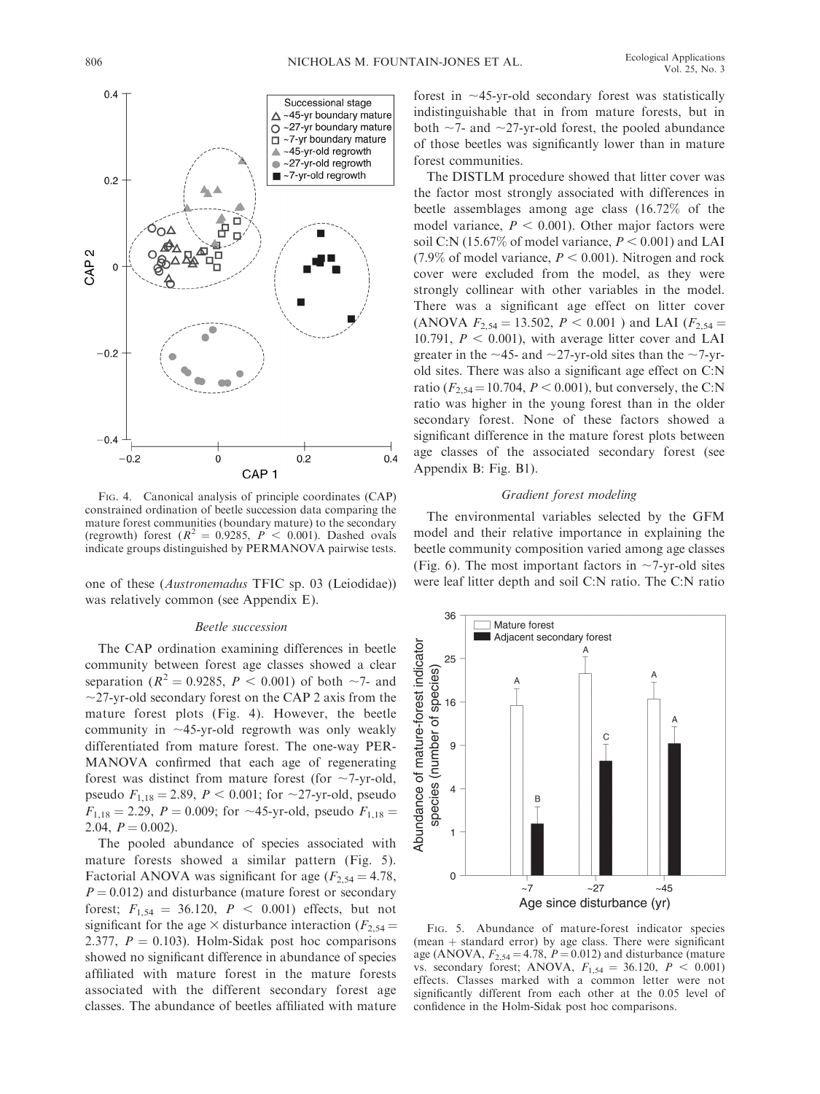

FIG. 4. Canonical analysis of principle coordinates (CAP) constrained ordination of beetle succession data comparing the mature forest communities (boundary mature) to the secondary (regrowth) forest ( $R^2 = 0.9285$ ,  $P < 0.001$ ). Dashed ovals indicate groups distinguished by PERMANOVA pairwise tests.

one of these (Austronemadus TFIC sp. 03 (Leiodidae)) was relatively common (see Appendix E).

### Beetle succession

The CAP ordination examining differences in beetle community between forest age classes showed a clear separation ( $R^2 = 0.9285$ ,  $P < 0.001$ ) of both ~7- and  $\sim$ 27-yr-old secondary forest on the CAP 2 axis from the mature forest plots (Fig. 4). However, the beetle community in  $\sim$ 45-yr-old regrowth was only weakly differentiated from mature forest. The one-way PER-MANOVA confirmed that each age of regenerating forest was distinct from mature forest (for  $\sim$ 7-yr-old, pseudo  $F_{1,18} = 2.89$ ,  $P < 0.001$ ; for  $\sim$ 27-yr-old, pseudo  $F_{1,18} = 2.29, P = 0.009$ ; for ~45-yr-old, pseudo  $F_{1,18} =$ 2.04,  $P = 0.002$ ).

The pooled abundance of species associated with mature forests showed a similar pattern (Fig. 5). Factorial ANOVA was significant for age ( $F_{2,54} = 4.78$ ,  $P = 0.012$ ) and disturbance (mature forest or secondary forest;  $F_{1,54} = 36.120$ ,  $P < 0.001$ ) effects, but not significant for the age  $\times$  disturbance interaction ( $F_{2,54}$  = 2.377,  $P = 0.103$ . Holm-Sidak post hoc comparisons showed no significant difference in abundance of species affiliated with mature forest in the mature forests associated with the different secondary forest age classes. The abundance of beetles affiliated with mature forest in  $\sim$ 45-yr-old secondary forest was statistically indistinguishable that in from mature forests, but in both  $\sim$ 7- and  $\sim$ 27-yr-old forest, the pooled abundance of those beetles was significantly lower than in mature forest communities.

The DISTLM procedure showed that litter cover was the factor most strongly associated with differences in beetle assemblages among age class (16.72% of the model variance,  $P < 0.001$ ). Other major factors were soil C:N (15.67% of model variance,  $P < 0.001$ ) and LAI (7.9% of model variance,  $P < 0.001$ ). Nitrogen and rock cover were excluded from the model, as they were strongly collinear with other variables in the model. There was a significant age effect on litter cover (ANOVA  $F_{2,54} = 13.502$ ,  $P < 0.001$ ) and LAI ( $F_{2,54} =$ 10.791,  $P < 0.001$ ), with average litter cover and LAI greater in the  $\sim$ 45- and  $\sim$ 27-yr-old sites than the  $\sim$ 7-yrold sites. There was also a significant age effect on C:N ratio ( $F_{2,54}$  = 10.704,  $P < 0.001$ ), but conversely, the C:N ratio was higher in the young forest than in the older secondary forest. None of these factors showed a significant difference in the mature forest plots between age classes of the associated secondary forest (see Appendix B: Fig. B1).

# Gradient forest modeling

The environmental variables selected by the GFM model and their relative importance in explaining the beetle community composition varied among age classes (Fig. 6). The most important factors in  $\sim$ 7-yr-old sites were leaf litter depth and soil C:N ratio. The C:N ratio



FIG. 5. Abundance of mature-forest indicator species (mean  $+$  standard error) by age class. There were significant age (ANOVA,  $F_{2,54} = 4.78$ ,  $P = 0.012$ ) and disturbance (mature vs. secondary forest; ANOVA,  $F_{1,54} = 36.120, P < 0.001$ ) effects. Classes marked with a common letter were not significantly different from each other at the 0.05 level of confidence in the Holm-Sidak post hoc comparisons.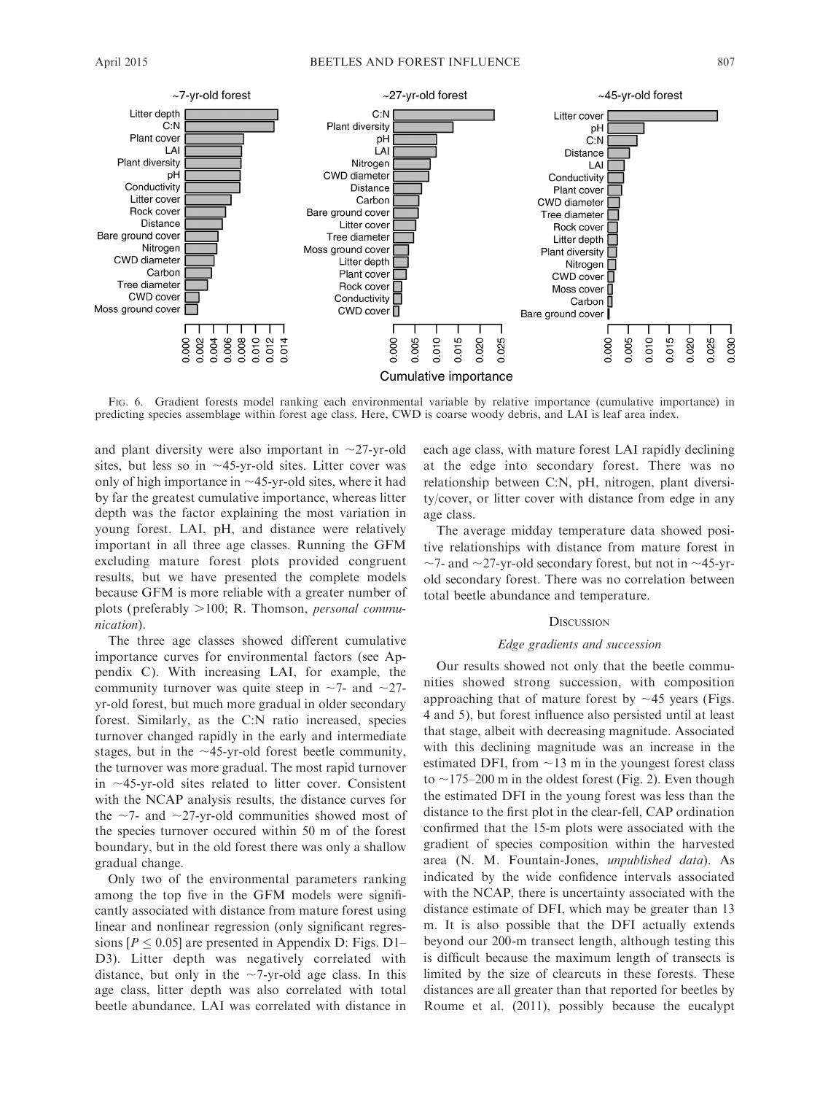

0.015

Cumulative importance

0.020

0.025

FIG. 6. Gradient forests model ranking each environmental variable by relative importance (cumulative importance) in predicting species assemblage within forest age class. Here, CWD is coarse woody debris, and LAI is leaf area index.

0.000 0.005  $0.010$ 

and plant diversity were also important in  $\sim$ 27-yr-old sites, but less so in  $\sim$ 45-yr-old sites. Litter cover was only of high importance in  $\sim$ 45-yr-old sites, where it had by far the greatest cumulative importance, whereas litter depth was the factor explaining the most variation in young forest. LAI, pH, and distance were relatively important in all three age classes. Running the GFM excluding mature forest plots provided congruent results, but we have presented the complete models because GFM is more reliable with a greater number of plots (preferably  $>100$ ; R. Thomson, *personal commu*nication).

 $0.010$ <br> $0.012$ <br> $0.014$ 

Л Т H 0.004  $0.006$ 

8

0.002

The three age classes showed different cumulative importance curves for environmental factors (see Appendix C). With increasing LAI, for example, the community turnover was quite steep in  $\sim$ 7- and  $\sim$ 27yr-old forest, but much more gradual in older secondary forest. Similarly, as the C:N ratio increased, species turnover changed rapidly in the early and intermediate stages, but in the  $\sim$ 45-yr-old forest beetle community, the turnover was more gradual. The most rapid turnover in  $\sim$ 45-yr-old sites related to litter cover. Consistent with the NCAP analysis results, the distance curves for the  $\sim$ 7- and  $\sim$ 27-yr-old communities showed most of the species turnover occured within 50 m of the forest boundary, but in the old forest there was only a shallow gradual change.

Only two of the environmental parameters ranking among the top five in the GFM models were significantly associated with distance from mature forest using linear and nonlinear regression (only significant regressions  $[P \le 0.05]$  are presented in Appendix D: Figs. D1– D3). Litter depth was negatively correlated with distance, but only in the  $\sim$ 7-yr-old age class. In this age class, litter depth was also correlated with total beetle abundance. LAI was correlated with distance in each age class, with mature forest LAI rapidly declining at the edge into secondary forest. There was no relationship between C:N, pH, nitrogen, plant diversity/cover, or litter cover with distance from edge in any age class.

Bare ground cover

0.000 0.005 0.010 0.015

0.020 0.025 0.030

The average midday temperature data showed positive relationships with distance from mature forest in  $\sim$ 7- and  $\sim$ 27-yr-old secondary forest, but not in  $\sim$ 45-yrold secondary forest. There was no correlation between total beetle abundance and temperature.

# **DISCUSSION**

# Edge gradients and succession

Our results showed not only that the beetle communities showed strong succession, with composition approaching that of mature forest by  $\sim$ 45 years (Figs. 4 and 5), but forest influence also persisted until at least that stage, albeit with decreasing magnitude. Associated with this declining magnitude was an increase in the estimated DFI, from  $\sim$ 13 m in the youngest forest class to  $\sim$ 175–200 m in the oldest forest (Fig. 2). Even though the estimated DFI in the young forest was less than the distance to the first plot in the clear-fell, CAP ordination confirmed that the 15-m plots were associated with the gradient of species composition within the harvested area (N. M. Fountain-Jones, unpublished data). As indicated by the wide confidence intervals associated with the NCAP, there is uncertainty associated with the distance estimate of DFI, which may be greater than 13 m. It is also possible that the DFI actually extends beyond our 200-m transect length, although testing this is difficult because the maximum length of transects is limited by the size of clearcuts in these forests. These distances are all greater than that reported for beetles by Roume et al. (2011), possibly because the eucalypt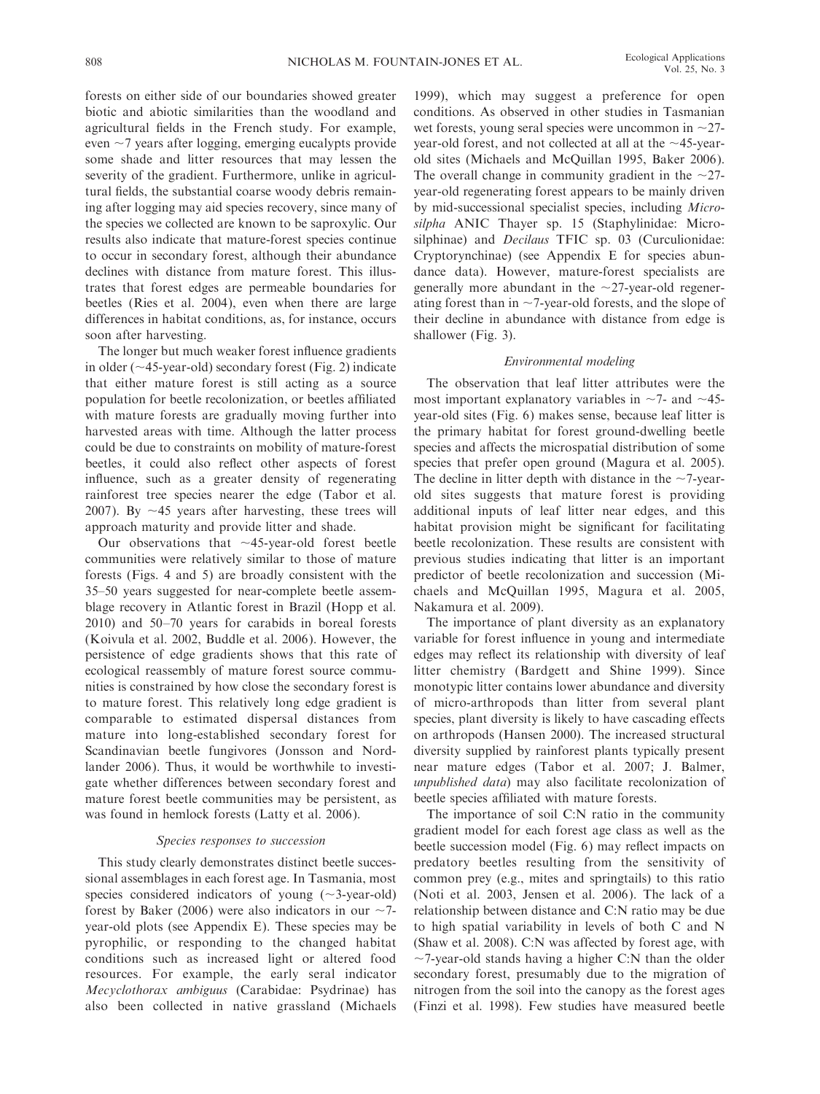forests on either side of our boundaries showed greater biotic and abiotic similarities than the woodland and agricultural fields in the French study. For example, even  $\sim$ 7 years after logging, emerging eucalypts provide some shade and litter resources that may lessen the severity of the gradient. Furthermore, unlike in agricultural fields, the substantial coarse woody debris remaining after logging may aid species recovery, since many of the species we collected are known to be saproxylic. Our results also indicate that mature-forest species continue to occur in secondary forest, although their abundance declines with distance from mature forest. This illustrates that forest edges are permeable boundaries for beetles (Ries et al. 2004), even when there are large differences in habitat conditions, as, for instance, occurs soon after harvesting.

The longer but much weaker forest influence gradients in older ( $\sim$ 45-year-old) secondary forest (Fig. 2) indicate that either mature forest is still acting as a source population for beetle recolonization, or beetles affiliated with mature forests are gradually moving further into harvested areas with time. Although the latter process could be due to constraints on mobility of mature-forest beetles, it could also reflect other aspects of forest influence, such as a greater density of regenerating rainforest tree species nearer the edge (Tabor et al. 2007). By  $\sim$ 45 years after harvesting, these trees will approach maturity and provide litter and shade.

Our observations that  $\sim$ 45-year-old forest beetle communities were relatively similar to those of mature forests (Figs. 4 and 5) are broadly consistent with the 35–50 years suggested for near-complete beetle assemblage recovery in Atlantic forest in Brazil (Hopp et al. 2010) and 50–70 years for carabids in boreal forests (Koivula et al. 2002, Buddle et al. 2006). However, the persistence of edge gradients shows that this rate of ecological reassembly of mature forest source communities is constrained by how close the secondary forest is to mature forest. This relatively long edge gradient is comparable to estimated dispersal distances from mature into long-established secondary forest for Scandinavian beetle fungivores (Jonsson and Nordlander 2006). Thus, it would be worthwhile to investigate whether differences between secondary forest and mature forest beetle communities may be persistent, as was found in hemlock forests (Latty et al. 2006).

# Species responses to succession

This study clearly demonstrates distinct beetle successional assemblages in each forest age. In Tasmania, most species considered indicators of young  $(\sim 3$ -year-old) forest by Baker (2006) were also indicators in our  $\sim$ 7year-old plots (see Appendix E). These species may be pyrophilic, or responding to the changed habitat conditions such as increased light or altered food resources. For example, the early seral indicator Mecyclothorax ambiguus (Carabidae: Psydrinae) has also been collected in native grassland (Michaels

1999), which may suggest a preference for open conditions. As observed in other studies in Tasmanian wet forests, young seral species were uncommon in  $\sim$ 27year-old forest, and not collected at all at the  $\sim$ 45-yearold sites (Michaels and McQuillan 1995, Baker 2006). The overall change in community gradient in the  $\sim$ 27year-old regenerating forest appears to be mainly driven by mid-successional specialist species, including Microsilpha ANIC Thayer sp. 15 (Staphylinidae: Microsilphinae) and *Decilaus* TFIC sp. 03 (Curculionidae: Cryptorynchinae) (see Appendix E for species abundance data). However, mature-forest specialists are generally more abundant in the  $\sim$ 27-year-old regenerating forest than in  $\sim$  7-year-old forests, and the slope of their decline in abundance with distance from edge is shallower (Fig. 3).

# Environmental modeling

The observation that leaf litter attributes were the most important explanatory variables in  $\sim$ 7- and  $\sim$ 45year-old sites (Fig. 6) makes sense, because leaf litter is the primary habitat for forest ground-dwelling beetle species and affects the microspatial distribution of some species that prefer open ground (Magura et al. 2005). The decline in litter depth with distance in the  $\sim$ 7-yearold sites suggests that mature forest is providing additional inputs of leaf litter near edges, and this habitat provision might be significant for facilitating beetle recolonization. These results are consistent with previous studies indicating that litter is an important predictor of beetle recolonization and succession (Michaels and McQuillan 1995, Magura et al. 2005, Nakamura et al. 2009).

The importance of plant diversity as an explanatory variable for forest influence in young and intermediate edges may reflect its relationship with diversity of leaf litter chemistry (Bardgett and Shine 1999). Since monotypic litter contains lower abundance and diversity of micro-arthropods than litter from several plant species, plant diversity is likely to have cascading effects on arthropods (Hansen 2000). The increased structural diversity supplied by rainforest plants typically present near mature edges (Tabor et al. 2007; J. Balmer, unpublished data) may also facilitate recolonization of beetle species affiliated with mature forests.

The importance of soil C:N ratio in the community gradient model for each forest age class as well as the beetle succession model (Fig. 6) may reflect impacts on predatory beetles resulting from the sensitivity of common prey (e.g., mites and springtails) to this ratio (Noti et al. 2003, Jensen et al. 2006). The lack of a relationship between distance and C:N ratio may be due to high spatial variability in levels of both C and N (Shaw et al. 2008). C:N was affected by forest age, with  $\sim$ 7-year-old stands having a higher C:N than the older secondary forest, presumably due to the migration of nitrogen from the soil into the canopy as the forest ages (Finzi et al. 1998). Few studies have measured beetle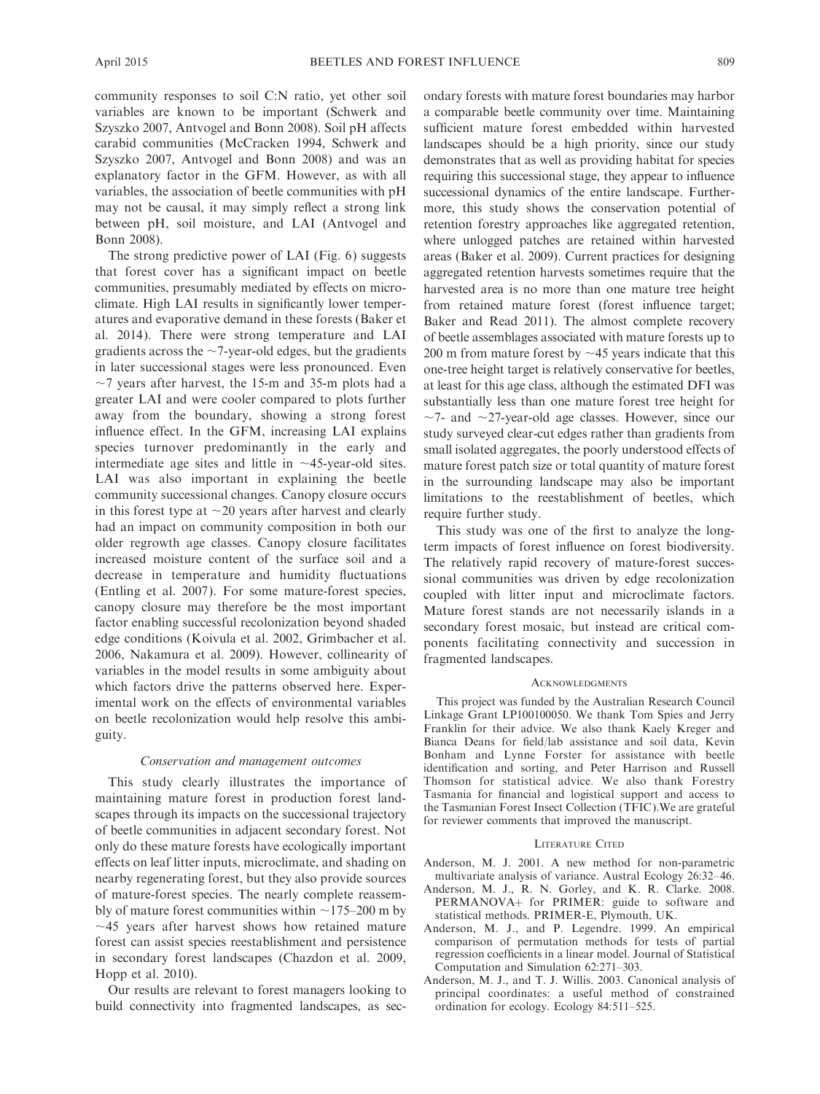community responses to soil C:N ratio, yet other soil variables are known to be important (Schwerk and Szyszko 2007, Antvogel and Bonn 2008). Soil pH affects carabid communities (McCracken 1994, Schwerk and Szyszko 2007, Antvogel and Bonn 2008) and was an explanatory factor in the GFM. However, as with all variables, the association of beetle communities with pH may not be causal, it may simply reflect a strong link between pH, soil moisture, and LAI (Antvogel and Bonn 2008).

The strong predictive power of LAI (Fig. 6) suggests that forest cover has a significant impact on beetle communities, presumably mediated by effects on microclimate. High LAI results in significantly lower temperatures and evaporative demand in these forests (Baker et al. 2014). There were strong temperature and LAI gradients across the  $\sim$ 7-year-old edges, but the gradients in later successional stages were less pronounced. Even  $\sim$ 7 years after harvest, the 15-m and 35-m plots had a greater LAI and were cooler compared to plots further away from the boundary, showing a strong forest influence effect. In the GFM, increasing LAI explains species turnover predominantly in the early and intermediate age sites and little in  $\sim$ 45-year-old sites. LAI was also important in explaining the beetle community successional changes. Canopy closure occurs in this forest type at  $\sim$  20 years after harvest and clearly had an impact on community composition in both our older regrowth age classes. Canopy closure facilitates increased moisture content of the surface soil and a decrease in temperature and humidity fluctuations (Entling et al. 2007). For some mature-forest species, canopy closure may therefore be the most important factor enabling successful recolonization beyond shaded edge conditions (Koivula et al. 2002, Grimbacher et al. 2006, Nakamura et al. 2009). However, collinearity of variables in the model results in some ambiguity about which factors drive the patterns observed here. Experimental work on the effects of environmental variables on beetle recolonization would help resolve this ambiguity.

### Conservation and management outcomes

This study clearly illustrates the importance of maintaining mature forest in production forest landscapes through its impacts on the successional trajectory of beetle communities in adjacent secondary forest. Not only do these mature forests have ecologically important effects on leaf litter inputs, microclimate, and shading on nearby regenerating forest, but they also provide sources of mature-forest species. The nearly complete reassembly of mature forest communities within  $\sim$ 175–200 m by  $\sim$ 45 years after harvest shows how retained mature forest can assist species reestablishment and persistence in secondary forest landscapes (Chazdon et al. 2009, Hopp et al. 2010).

Our results are relevant to forest managers looking to build connectivity into fragmented landscapes, as secondary forests with mature forest boundaries may harbor a comparable beetle community over time. Maintaining sufficient mature forest embedded within harvested landscapes should be a high priority, since our study demonstrates that as well as providing habitat for species requiring this successional stage, they appear to influence successional dynamics of the entire landscape. Furthermore, this study shows the conservation potential of retention forestry approaches like aggregated retention, where unlogged patches are retained within harvested areas (Baker et al. 2009). Current practices for designing aggregated retention harvests sometimes require that the harvested area is no more than one mature tree height from retained mature forest (forest influence target; Baker and Read 2011). The almost complete recovery of beetle assemblages associated with mature forests up to 200 m from mature forest by  $\sim$ 45 years indicate that this one-tree height target is relatively conservative for beetles, at least for this age class, although the estimated DFI was substantially less than one mature forest tree height for  $\sim$ 7- and  $\sim$ 27-year-old age classes. However, since our study surveyed clear-cut edges rather than gradients from small isolated aggregates, the poorly understood effects of mature forest patch size or total quantity of mature forest in the surrounding landscape may also be important limitations to the reestablishment of beetles, which require further study.

This study was one of the first to analyze the longterm impacts of forest influence on forest biodiversity. The relatively rapid recovery of mature-forest successional communities was driven by edge recolonization coupled with litter input and microclimate factors. Mature forest stands are not necessarily islands in a secondary forest mosaic, but instead are critical components facilitating connectivity and succession in fragmented landscapes.

#### **ACKNOWLEDGMENTS**

This project was funded by the Australian Research Council Linkage Grant LP100100050. We thank Tom Spies and Jerry Franklin for their advice. We also thank Kaely Kreger and Bianca Deans for field/lab assistance and soil data, Kevin Bonham and Lynne Forster for assistance with beetle identification and sorting, and Peter Harrison and Russell Thomson for statistical advice. We also thank Forestry Tasmania for financial and logistical support and access to the Tasmanian Forest Insect Collection (TFIC).We are grateful for reviewer comments that improved the manuscript.

#### LITERATURE CITED

- Anderson, M. J. 2001. A new method for non-parametric multivariate analysis of variance. Austral Ecology 26:32–46.
- Anderson, M. J., R. N. Gorley, and K. R. Clarke. 2008. PERMANOVA+ for PRIMER: guide to software and statistical methods. PRIMER-E, Plymouth, UK.
- Anderson, M. J., and P. Legendre. 1999. An empirical comparison of permutation methods for tests of partial regression coefficients in a linear model. Journal of Statistical Computation and Simulation 62:271–303.
- Anderson, M. J., and T. J. Willis. 2003. Canonical analysis of principal coordinates: a useful method of constrained ordination for ecology. Ecology 84:511–525.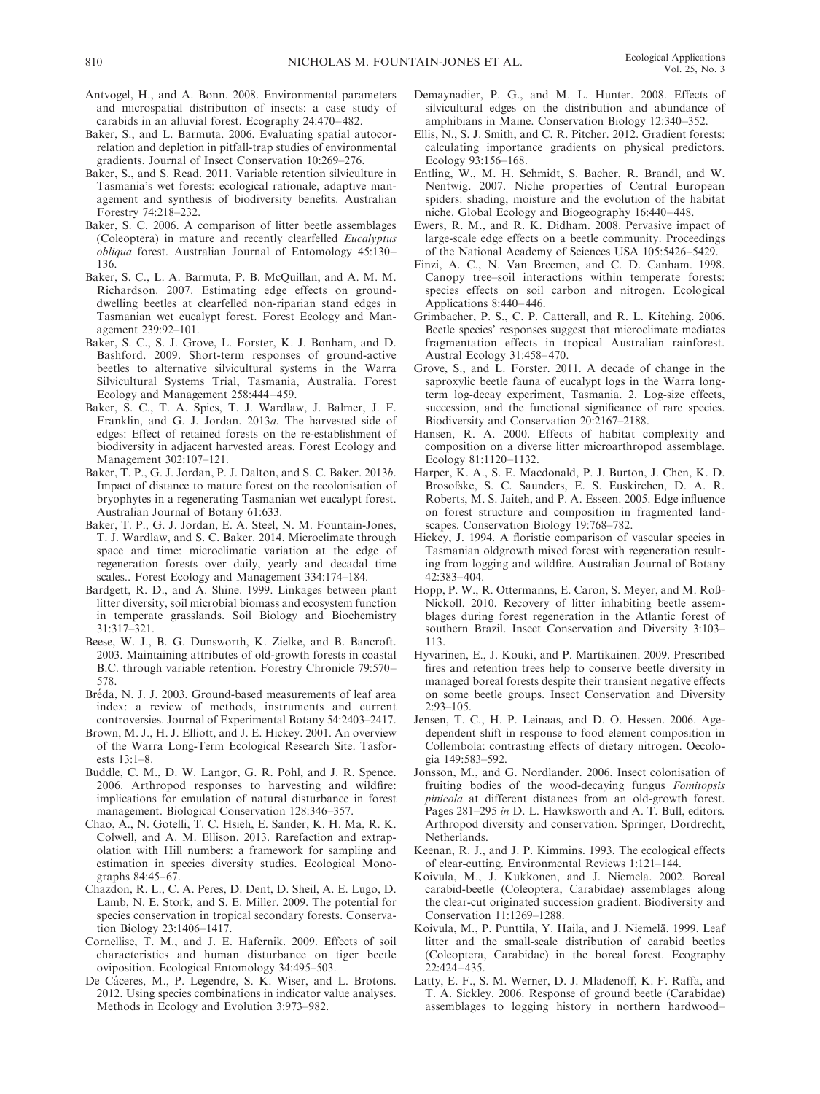- Antvogel, H., and A. Bonn. 2008. Environmental parameters and microspatial distribution of insects: a case study of carabids in an alluvial forest. Ecography 24:470–482.
- Baker, S., and L. Barmuta. 2006. Evaluating spatial autocorrelation and depletion in pitfall-trap studies of environmental gradients. Journal of Insect Conservation 10:269–276.
- Baker, S., and S. Read. 2011. Variable retention silviculture in Tasmania's wet forests: ecological rationale, adaptive management and synthesis of biodiversity benefits. Australian Forestry 74:218–232.
- Baker, S. C. 2006. A comparison of litter beetle assemblages (Coleoptera) in mature and recently clearfelled Eucalyptus obliqua forest. Australian Journal of Entomology 45:130– 136.
- Baker, S. C., L. A. Barmuta, P. B. McQuillan, and A. M. M. Richardson. 2007. Estimating edge effects on grounddwelling beetles at clearfelled non-riparian stand edges in Tasmanian wet eucalypt forest. Forest Ecology and Management 239:92–101.
- Baker, S. C., S. J. Grove, L. Forster, K. J. Bonham, and D. Bashford. 2009. Short-term responses of ground-active beetles to alternative silvicultural systems in the Warra Silvicultural Systems Trial, Tasmania, Australia. Forest Ecology and Management 258:444–459.
- Baker, S. C., T. A. Spies, T. J. Wardlaw, J. Balmer, J. F. Franklin, and G. J. Jordan. 2013a. The harvested side of edges: Effect of retained forests on the re-establishment of biodiversity in adjacent harvested areas. Forest Ecology and Management 302:107–121.
- Baker, T. P., G. J. Jordan, P. J. Dalton, and S. C. Baker. 2013b. Impact of distance to mature forest on the recolonisation of bryophytes in a regenerating Tasmanian wet eucalypt forest. Australian Journal of Botany 61:633.
- Baker, T. P., G. J. Jordan, E. A. Steel, N. M. Fountain-Jones, T. J. Wardlaw, and S. C. Baker. 2014. Microclimate through space and time: microclimatic variation at the edge of regeneration forests over daily, yearly and decadal time scales.. Forest Ecology and Management 334:174–184.
- Bardgett, R. D., and A. Shine. 1999. Linkages between plant litter diversity, soil microbial biomass and ecosystem function in temperate grasslands. Soil Biology and Biochemistry 31:317–321.
- Beese, W. J., B. G. Dunsworth, K. Zielke, and B. Bancroft. 2003. Maintaining attributes of old-growth forests in coastal B.C. through variable retention. Forestry Chronicle 79:570– 578.
- Bréda, N. J. J. 2003. Ground-based measurements of leaf area index: a review of methods, instruments and current controversies. Journal of Experimental Botany 54:2403–2417.
- Brown, M. J., H. J. Elliott, and J. E. Hickey. 2001. An overview of the Warra Long-Term Ecological Research Site. Tasforests 13:1–8.
- Buddle, C. M., D. W. Langor, G. R. Pohl, and J. R. Spence. 2006. Arthropod responses to harvesting and wildfire: implications for emulation of natural disturbance in forest management. Biological Conservation 128:346–357.
- Chao, A., N. Gotelli, T. C. Hsieh, E. Sander, K. H. Ma, R. K. Colwell, and A. M. Ellison. 2013. Rarefaction and extrapolation with Hill numbers: a framework for sampling and estimation in species diversity studies. Ecological Monographs 84:45–67.
- Chazdon, R. L., C. A. Peres, D. Dent, D. Sheil, A. E. Lugo, D. Lamb, N. E. Stork, and S. E. Miller. 2009. The potential for species conservation in tropical secondary forests. Conservation Biology 23:1406–1417.
- Cornellise, T. M., and J. E. Hafernik. 2009. Effects of soil characteristics and human disturbance on tiger beetle oviposition. Ecological Entomology 34:495–503.
- De Cáceres, M., P. Legendre, S. K. Wiser, and L. Brotons. 2012. Using species combinations in indicator value analyses. Methods in Ecology and Evolution 3:973–982.
- Demaynadier, P. G., and M. L. Hunter. 2008. Effects of silvicultural edges on the distribution and abundance of amphibians in Maine. Conservation Biology 12:340–352.
- Ellis, N., S. J. Smith, and C. R. Pitcher. 2012. Gradient forests: calculating importance gradients on physical predictors. Ecology 93:156–168.
- Entling, W., M. H. Schmidt, S. Bacher, R. Brandl, and W. Nentwig. 2007. Niche properties of Central European spiders: shading, moisture and the evolution of the habitat niche. Global Ecology and Biogeography 16:440–448.
- Ewers, R. M., and R. K. Didham. 2008. Pervasive impact of large-scale edge effects on a beetle community. Proceedings of the National Academy of Sciences USA 105:5426–5429.
- Finzi, A. C., N. Van Breemen, and C. D. Canham. 1998. Canopy tree–soil interactions within temperate forests: species effects on soil carbon and nitrogen. Ecological Applications 8:440–446.
- Grimbacher, P. S., C. P. Catterall, and R. L. Kitching. 2006. Beetle species' responses suggest that microclimate mediates fragmentation effects in tropical Australian rainforest. Austral Ecology 31:458–470.
- Grove, S., and L. Forster. 2011. A decade of change in the saproxylic beetle fauna of eucalypt logs in the Warra longterm log-decay experiment, Tasmania. 2. Log-size effects, succession, and the functional significance of rare species. Biodiversity and Conservation 20:2167–2188.
- Hansen, R. A. 2000. Effects of habitat complexity and composition on a diverse litter microarthropod assemblage. Ecology 81:1120–1132.
- Harper, K. A., S. E. Macdonald, P. J. Burton, J. Chen, K. D. Brosofske, S. C. Saunders, E. S. Euskirchen, D. A. R. Roberts, M. S. Jaiteh, and P. A. Esseen. 2005. Edge influence on forest structure and composition in fragmented landscapes. Conservation Biology 19:768–782.
- Hickey, J. 1994. A floristic comparison of vascular species in Tasmanian oldgrowth mixed forest with regeneration resulting from logging and wildfire. Australian Journal of Botany 42:383–404.
- Hopp, P. W., R. Ottermanns, E. Caron, S. Meyer, and M. Roß-Nickoll. 2010. Recovery of litter inhabiting beetle assemblages during forest regeneration in the Atlantic forest of southern Brazil. Insect Conservation and Diversity 3:103– 113.
- Hyvarinen, E., J. Kouki, and P. Martikainen. 2009. Prescribed fires and retention trees help to conserve beetle diversity in managed boreal forests despite their transient negative effects on some beetle groups. Insect Conservation and Diversity 2:93–105.
- Jensen, T. C., H. P. Leinaas, and D. O. Hessen. 2006. Agedependent shift in response to food element composition in Collembola: contrasting effects of dietary nitrogen. Oecologia 149:583–592.
- Jonsson, M., and G. Nordlander. 2006. Insect colonisation of fruiting bodies of the wood-decaying fungus Fomitopsis pinicola at different distances from an old-growth forest. Pages 281–295 in D. L. Hawksworth and A. T. Bull, editors. Arthropod diversity and conservation. Springer, Dordrecht, Netherlands.
- Keenan, R. J., and J. P. Kimmins. 1993. The ecological effects of clear-cutting. Environmental Reviews 1:121–144.
- Koivula, M., J. Kukkonen, and J. Niemela. 2002. Boreal carabid-beetle (Coleoptera, Carabidae) assemblages along the clear-cut originated succession gradient. Biodiversity and Conservation 11:1269–1288.
- Koivula, M., P. Punttila, Y. Haila, and J. Niemelä. 1999. Leaf litter and the small-scale distribution of carabid beetles (Coleoptera, Carabidae) in the boreal forest. Ecography 22:424–435.
- Latty, E. F., S. M. Werner, D. J. Mladenoff, K. F. Raffa, and T. A. Sickley. 2006. Response of ground beetle (Carabidae) assemblages to logging history in northern hardwood–